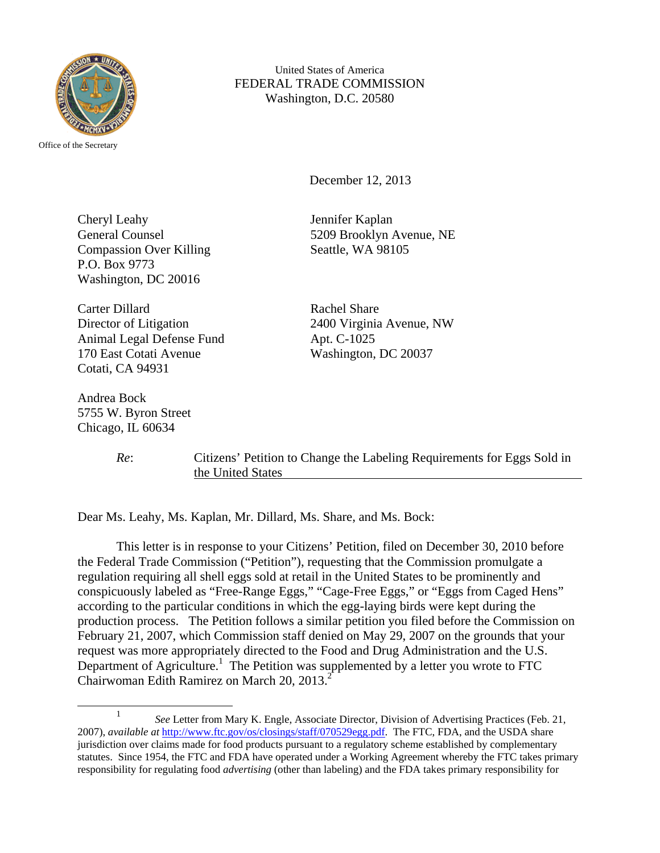

Office of the Secretary

United States of America FEDERAL TRADE COMMISSION Washington, D.C. 20580

December 12, 2013

Cheryl Leahy Jennifer Kaplan Compassion Over Killing Seattle, WA 98105 P.O. Box 9773 Washington, DC 20016

Carter Dillard Rachel Share Director of Litigation 2400 Virginia Avenue, NW Animal Legal Defense Fund Apt. C-1025 170 East Cotati Avenue Washington, DC 20037 Cotati, CA 94931

Andrea Bock 5755 W. Byron Street Chicago, IL 60634

General Counsel 5209 Brooklyn Avenue, NE

*Re*: Citizens' Petition to Change the Labeling Requirements for Eggs Sold in the United States

Dear Ms. Leahy, Ms. Kaplan, Mr. Dillard, Ms. Share, and Ms. Bock:

 This letter is in response to your Citizens' Petition, filed on December 30, 2010 before the Federal Trade Commission ("Petition"), requesting that the Commission promulgate a regulation requiring all shell eggs sold at retail in the United States to be prominently and conspicuously labeled as "Free-Range Eggs," "Cage-Free Eggs," or "Eggs from Caged Hens" according to the particular conditions in which the egg-laying birds were kept during the production process. The Petition follows a similar petition you filed before the Commission on February 21, 2007, which Commission staff denied on May 29, 2007 on the grounds that your request was more appropriately directed to the Food and Drug Administration and the U.S. Department of Agriculture.<sup>1</sup> The Petition was supplemented by a letter you wrote to FTC Chairwoman Edith Ramirez on March 20, 2013.<sup>2</sup>

<sup>&</sup>lt;u>1</u> <sup>1</sup> See Letter from Mary K. Engle, Associate Director, Division of Advertising Practices (Feb. 21, 2007), *available at* http://www.ftc.gov/os/closings/staff/070529egg.pdf. The FTC, FDA, and the USDA share jurisdiction over claims made for food products pursuant to a regulatory scheme established by complementary statutes. Since 1954, the FTC and FDA have operated under a Working Agreement whereby the FTC takes primary responsibility for regulating food *advertising* (other than labeling) and the FDA takes primary responsibility for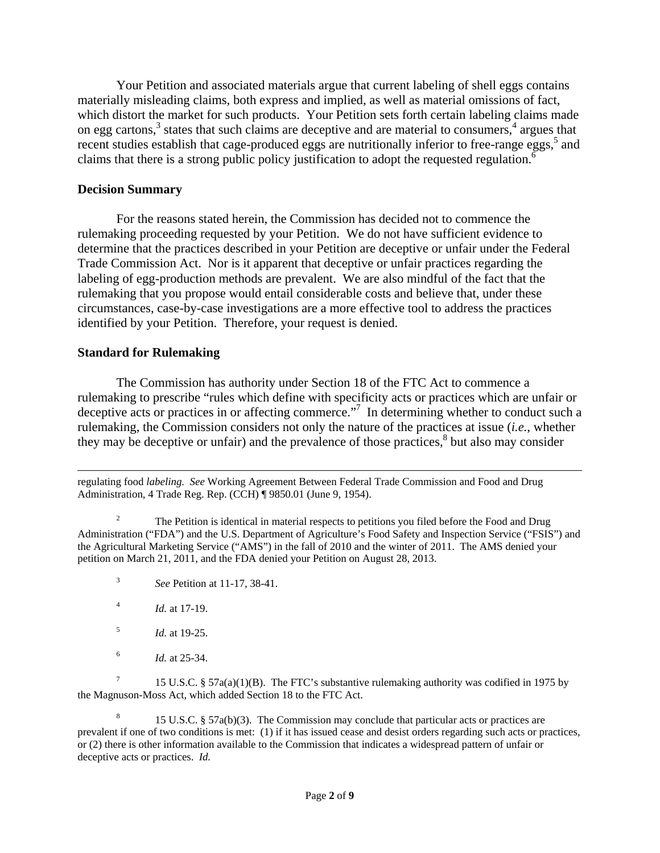Your Petition and associated materials argue that current labeling of shell eggs contains materially misleading claims, both express and implied, as well as material omissions of fact, which distort the market for such products. Your Petition sets forth certain labeling claims made on egg cartons, $3$  states that such claims are deceptive and are material to consumers, $4$  argues that recent studies establish that cage-produced eggs are nutritionally inferior to free-range eggs,<sup>5</sup> and claims that there is a strong public policy justification to adopt the requested regulation.<sup>6</sup>

#### **Decision Summary**

 For the reasons stated herein, the Commission has decided not to commence the rulemaking proceeding requested by your Petition. We do not have sufficient evidence to determine that the practices described in your Petition are deceptive or unfair under the Federal Trade Commission Act. Nor is it apparent that deceptive or unfair practices regarding the labeling of egg-production methods are prevalent. We are also mindful of the fact that the rulemaking that you propose would entail considerable costs and believe that, under these circumstances, case-by-case investigations are a more effective tool to address the practices identified by your Petition. Therefore, your request is denied.

#### **Standard for Rulemaking**

The Commission has authority under Section 18 of the FTC Act to commence a rulemaking to prescribe "rules which define with specificity acts or practices which are unfair or deceptive acts or practices in or affecting commerce."<sup>7</sup> In determining whether to conduct such a rulemaking, the Commission considers not only the nature of the practices at issue (*i.e.*, whether they may be deceptive or unfair) and the prevalence of those practices, $\delta$  but also may consider

 $\overline{a}$ regulating food *labeling. See* Working Agreement Between Federal Trade Commission and Food and Drug Administration, 4 Trade Reg. Rep. (CCH) ¶ 9850.01 (June 9, 1954).

2 The Petition is identical in material respects to petitions you filed before the Food and Drug Administration ("FDA") and the U.S. Department of Agriculture's Food Safety and Inspection Service ("FSIS") and the Agricultural Marketing Service ("AMS") in the fall of 2010 and the winter of 2011. The AMS denied your petition on March 21, 2011, and the FDA denied your Petition on August 28, 2013.

- 3 *See* Petition at 11-17, 38-41.
- 4 *Id.* at 17-19.
- 5 *Id.* at 19-25.
- 6 *Id.* at 25-34.

7 15 U.S.C. § 57a(a)(1)(B). The FTC's substantive rulemaking authority was codified in 1975 by the Magnuson-Moss Act, which added Section 18 to the FTC Act.

8 15 U.S.C. § 57a(b)(3). The Commission may conclude that particular acts or practices are prevalent if one of two conditions is met: (1) if it has issued cease and desist orders regarding such acts or practices, or (2) there is other information available to the Commission that indicates a widespread pattern of unfair or deceptive acts or practices. *Id.*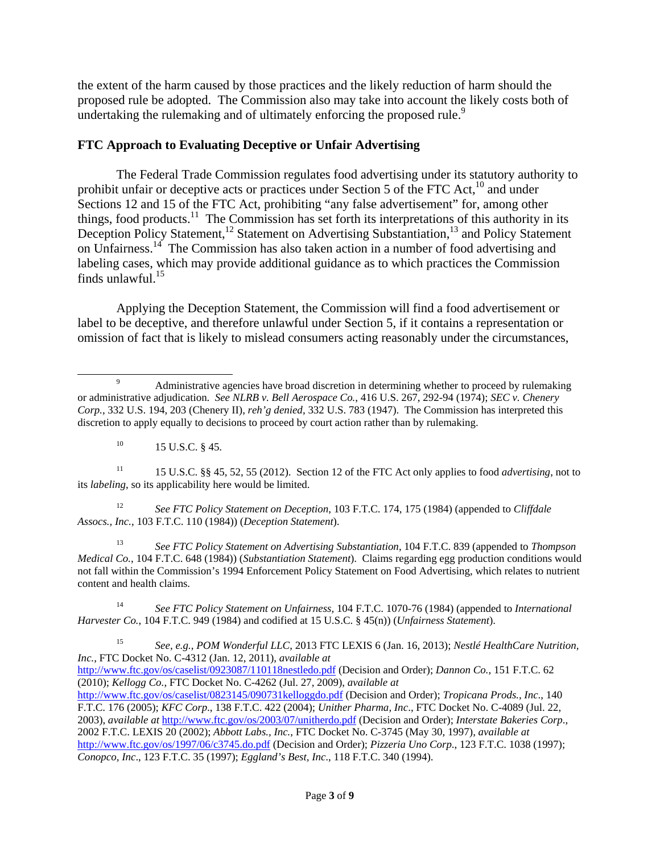the extent of the harm caused by those practices and the likely reduction of harm should the proposed rule be adopted. The Commission also may take into account the likely costs both of undertaking the rulemaking and of ultimately enforcing the proposed rule.<sup>9</sup>

# **FTC Approach to Evaluating Deceptive or Unfair Advertising**

The Federal Trade Commission regulates food advertising under its statutory authority to prohibit unfair or deceptive acts or practices under Section 5 of the FTC Act,<sup>10</sup> and under Sections 12 and 15 of the FTC Act, prohibiting "any false advertisement" for, among other things, food products.<sup>11</sup> The Commission has set forth its interpretations of this authority in its Deception Policy Statement,<sup>12</sup> Statement on Advertising Substantiation,<sup>13</sup> and Policy Statement on Unfairness.14 The Commission has also taken action in a number of food advertising and labeling cases, which may provide additional guidance as to which practices the Commission finds unlawful. $15$ 

Applying the Deception Statement, the Commission will find a food advertisement or label to be deceptive, and therefore unlawful under Section 5, if it contains a representation or omission of fact that is likely to mislead consumers acting reasonably under the circumstances,

 $^{10}$  15 U.S.C. § 45.

11 15 U.S.C. §§ 45, 52, 55 (2012). Section 12 of the FTC Act only applies to food *advertising*, not to its *labeling*, so its applicability here would be limited.

12 *See FTC Policy Statement on Deception*, 103 F.T.C. 174, 175 (1984) (appended to *Cliffdale Assocs., Inc.*, 103 F.T.C. 110 (1984)) (*Deception Statement*).

13 *See FTC Policy Statement on Advertising Substantiation*, 104 F.T.C. 839 (appended to *Thompson Medical Co.*, 104 F.T.C. 648 (1984)) (*Substantiation Statement*). Claims regarding egg production conditions would not fall within the Commission's 1994 Enforcement Policy Statement on Food Advertising, which relates to nutrient content and health claims.

14 *See FTC Policy Statement on Unfairness,* 104 F.T.C. 1070-76 (1984) (appended to *International Harvester Co.*, 104 F.T.C. 949 (1984) and codified at 15 U.S.C. § 45(n)) (*Unfairness Statement*).

15 *See, e.g.*, *POM Wonderful LLC*, 2013 FTC LEXIS 6 (Jan. 16, 2013); *Nestlé HealthCare Nutrition, Inc.*, FTC Docket No. C-4312 (Jan. 12, 2011), *available at* 

http://www.ftc.gov/os/caselist/0923087/110118nestledo.pdf (Decision and Order); *Dannon Co.*, 151 F.T.C. 62 (2010); *Kellogg Co.*, FTC Docket No. C-4262 (Jul. 27, 2009), *available at*

http://www.ftc.gov/os/caselist/0823145/090731kelloggdo.pdf (Decision and Order); *Tropicana Prods., Inc*., 140 F.T.C. 176 (2005); *KFC Corp*., 138 F.T.C. 422 (2004); *Unither Pharma, Inc*., FTC Docket No. C-4089 (Jul. 22, 2003), *available at* http://www.ftc.gov/os/2003/07/unitherdo.pdf (Decision and Order); *Interstate Bakeries Corp*., 2002 F.T.C. LEXIS 20 (2002); *Abbott Labs., Inc.*, FTC Docket No. C-3745 (May 30, 1997), *available at*  http://www.ftc.gov/os/1997/06/c3745.do.pdf (Decision and Order); *Pizzeria Uno Corp*., 123 F.T.C. 1038 (1997); *Conopco, Inc*., 123 F.T.C. 35 (1997); *Eggland's Best, Inc*., 118 F.T.C. 340 (1994).

 $\frac{1}{9}$ <sup>9</sup> Administrative agencies have broad discretion in determining whether to proceed by rulemaking or administrative adjudication. *See NLRB v. Bell Aerospace Co.*, 416 U.S. 267, 292-94 (1974); *SEC v. Chenery Corp.*, 332 U.S. 194, 203 (Chenery II), *reh'g denied*, 332 U.S. 783 (1947). The Commission has interpreted this discretion to apply equally to decisions to proceed by court action rather than by rulemaking.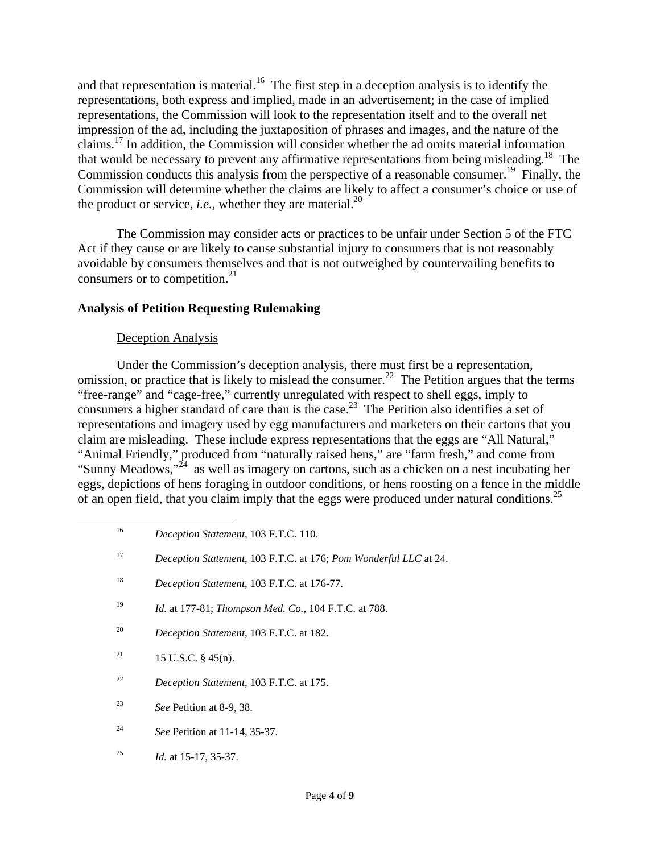and that representation is material.<sup>16</sup> The first step in a deception analysis is to identify the representations, both express and implied, made in an advertisement; in the case of implied representations, the Commission will look to the representation itself and to the overall net impression of the ad, including the juxtaposition of phrases and images, and the nature of the claims.<sup>17</sup> In addition, the Commission will consider whether the ad omits material information that would be necessary to prevent any affirmative representations from being misleading.<sup>18</sup> The Commission conducts this analysis from the perspective of a reasonable consumer.<sup>19</sup> Finally, the Commission will determine whether the claims are likely to affect a consumer's choice or use of the product or service, *i.e.*, whether they are material.<sup>20</sup>

The Commission may consider acts or practices to be unfair under Section 5 of the FTC Act if they cause or are likely to cause substantial injury to consumers that is not reasonably avoidable by consumers themselves and that is not outweighed by countervailing benefits to consumers or to competition. $2<sup>1</sup>$ 

## **Analysis of Petition Requesting Rulemaking**

#### Deception Analysis

Under the Commission's deception analysis, there must first be a representation, omission, or practice that is likely to mislead the consumer.<sup>22</sup> The Petition argues that the terms "free-range" and "cage-free," currently unregulated with respect to shell eggs, imply to consumers a higher standard of care than is the case.<sup>23</sup> The Petition also identifies a set of representations and imagery used by egg manufacturers and marketers on their cartons that you claim are misleading. These include express representations that the eggs are "All Natural," "Animal Friendly," produced from "naturally raised hens," are "farm fresh," and come from "Sunny Meadows,"<sup>24</sup> as well as imagery on cartons, such as a chicken on a nest incubating her eggs, depictions of hens foraging in outdoor conditions, or hens roosting on a fence in the middle of an open field, that you claim imply that the eggs were produced under natural conditions.<sup>25</sup>

- 20 *Deception Statement*, 103 F.T.C. at 182.
- <sup>21</sup> 15 U.S.C. § 45(n).
- 22 *Deception Statement*, 103 F.T.C. at 175.
- 23 *See* Petition at 8-9, 38.
- 24 *See* Petition at 11-14, 35-37.
- 25 *Id.* at 15-17, 35-37.

 <sup>16</sup> *Deception Statement*, 103 F.T.C. 110.

<sup>17</sup> *Deception Statement*, 103 F.T.C. at 176; *Pom Wonderful LLC* at 24.

<sup>18</sup> *Deception Statement*, 103 F.T.C. at 176-77.

<sup>19</sup> *Id.* at 177-81; *Thompson Med. Co.*, 104 F.T.C. at 788.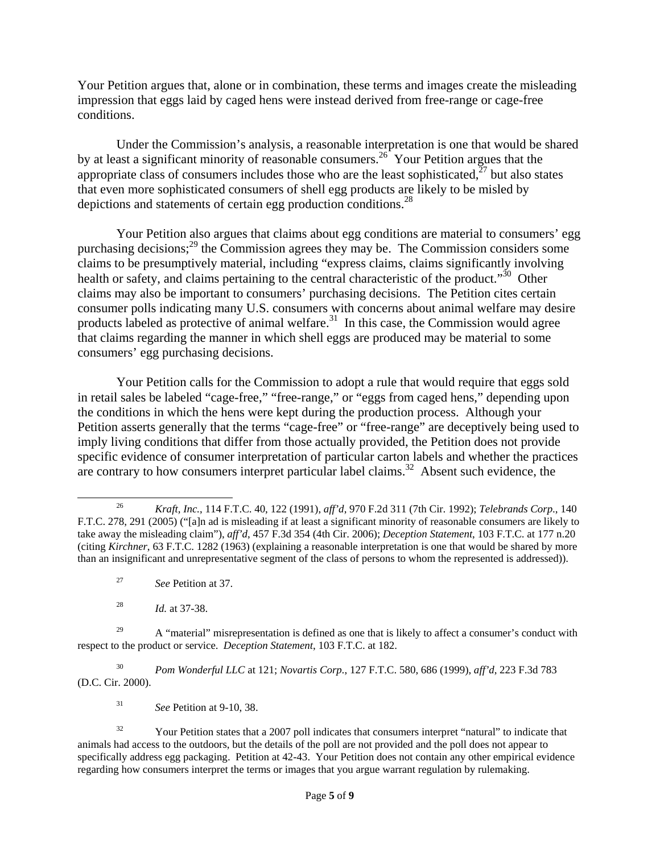Your Petition argues that, alone or in combination, these terms and images create the misleading impression that eggs laid by caged hens were instead derived from free-range or cage-free conditions.

Under the Commission's analysis, a reasonable interpretation is one that would be shared by at least a significant minority of reasonable consumers.<sup>26</sup> Your Petition argues that the appropriate class of consumers includes those who are the least sophisticated, $27$  but also states that even more sophisticated consumers of shell egg products are likely to be misled by depictions and statements of certain egg production conditions.<sup>28</sup>

Your Petition also argues that claims about egg conditions are material to consumers' egg purchasing decisions;<sup>29</sup> the Commission agrees they may be. The Commission considers some claims to be presumptively material, including "express claims, claims significantly involving health or safety, and claims pertaining to the central characteristic of the product.<sup>30</sup> Other claims may also be important to consumers' purchasing decisions. The Petition cites certain consumer polls indicating many U.S. consumers with concerns about animal welfare may desire products labeled as protective of animal welfare. $31$  In this case, the Commission would agree that claims regarding the manner in which shell eggs are produced may be material to some consumers' egg purchasing decisions.

Your Petition calls for the Commission to adopt a rule that would require that eggs sold in retail sales be labeled "cage-free," "free-range," or "eggs from caged hens," depending upon the conditions in which the hens were kept during the production process. Although your Petition asserts generally that the terms "cage-free" or "free-range" are deceptively being used to imply living conditions that differ from those actually provided, the Petition does not provide specific evidence of consumer interpretation of particular carton labels and whether the practices are contrary to how consumers interpret particular label claims.<sup>32</sup> Absent such evidence, the

<sup>29</sup> A "material" misrepresentation is defined as one that is likely to affect a consumer's conduct with respect to the product or service. *Deception Statement*, 103 F.T.C. at 182.

30 *Pom Wonderful LLC* at 121; *Novartis Corp.*, 127 F.T.C. 580, 686 (1999), *aff'd*, 223 F.3d 783 (D.C. Cir. 2000).

31 See Petition at 9-10, 38.

 <sup>26</sup> *Kraft, Inc.*, 114 F.T.C. 40, 122 (1991), *aff'd*, 970 F.2d 311 (7th Cir. 1992); *Telebrands Corp*., 140 F.T.C. 278, 291 (2005) ("[a]n ad is misleading if at least a significant minority of reasonable consumers are likely to take away the misleading claim"), *aff'd*, 457 F.3d 354 (4th Cir. 2006); *Deception Statement*, 103 F.T.C. at 177 n.20 (citing *Kirchner*, 63 F.T.C. 1282 (1963) (explaining a reasonable interpretation is one that would be shared by more than an insignificant and unrepresentative segment of the class of persons to whom the represented is addressed)).

<sup>27</sup> 27 *See* Petition at 37.

<sup>28</sup> *Id.* at 37-38.

<sup>&</sup>lt;sup>32</sup> Your Petition states that a 2007 poll indicates that consumers interpret "natural" to indicate that animals had access to the outdoors, but the details of the poll are not provided and the poll does not appear to specifically address egg packaging. Petition at 42-43. Your Petition does not contain any other empirical evidence regarding how consumers interpret the terms or images that you argue warrant regulation by rulemaking.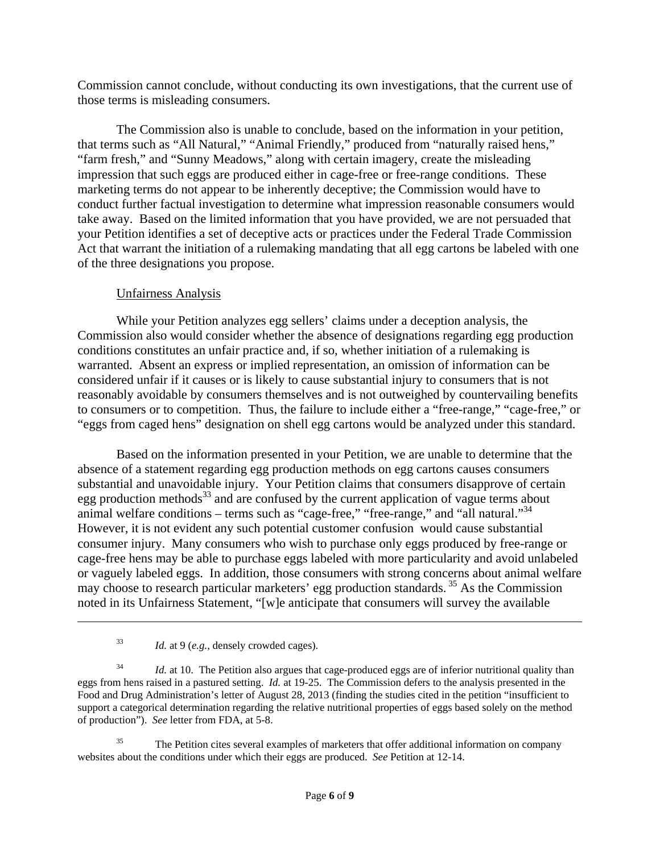Commission cannot conclude, without conducting its own investigations, that the current use of those terms is misleading consumers.

The Commission also is unable to conclude, based on the information in your petition, that terms such as "All Natural," "Animal Friendly," produced from "naturally raised hens," "farm fresh," and "Sunny Meadows," along with certain imagery, create the misleading impression that such eggs are produced either in cage-free or free-range conditions. These marketing terms do not appear to be inherently deceptive; the Commission would have to conduct further factual investigation to determine what impression reasonable consumers would take away. Based on the limited information that you have provided, we are not persuaded that your Petition identifies a set of deceptive acts or practices under the Federal Trade Commission Act that warrant the initiation of a rulemaking mandating that all egg cartons be labeled with one of the three designations you propose.

## Unfairness Analysis

 While your Petition analyzes egg sellers' claims under a deception analysis, the Commission also would consider whether the absence of designations regarding egg production conditions constitutes an unfair practice and, if so, whether initiation of a rulemaking is warranted. Absent an express or implied representation, an omission of information can be considered unfair if it causes or is likely to cause substantial injury to consumers that is not reasonably avoidable by consumers themselves and is not outweighed by countervailing benefits to consumers or to competition. Thus, the failure to include either a "free-range," "cage-free," or "eggs from caged hens" designation on shell egg cartons would be analyzed under this standard.

 Based on the information presented in your Petition, we are unable to determine that the absence of a statement regarding egg production methods on egg cartons causes consumers substantial and unavoidable injury. Your Petition claims that consumers disapprove of certain egg production methods<sup>33</sup> and are confused by the current application of vague terms about animal welfare conditions – terms such as "cage-free," "free-range," and "all natural." $34$ However, it is not evident any such potential customer confusion would cause substantial consumer injury. Many consumers who wish to purchase only eggs produced by free-range or cage-free hens may be able to purchase eggs labeled with more particularity and avoid unlabeled or vaguely labeled eggs. In addition, those consumers with strong concerns about animal welfare may choose to research particular marketers' egg production standards.<sup>35</sup> As the Commission noted in its Unfairness Statement, "[w]e anticipate that consumers will survey the available

 $\overline{a}$ 

<sup>35</sup> The Petition cites several examples of marketers that offer additional information on company websites about the conditions under which their eggs are produced. *See* Petition at 12-14.

<sup>33</sup> *Id.* at 9 (*e.g.*, densely crowded cages).

<sup>&</sup>lt;sup>34</sup> *Id.* at 10. The Petition also argues that cage-produced eggs are of inferior nutritional quality than eggs from hens raised in a pastured setting. *Id.* at 19-25. The Commission defers to the analysis presented in the Food and Drug Administration's letter of August 28, 2013 (finding the studies cited in the petition "insufficient to support a categorical determination regarding the relative nutritional properties of eggs based solely on the method of production"). *See* letter from FDA, at 5-8.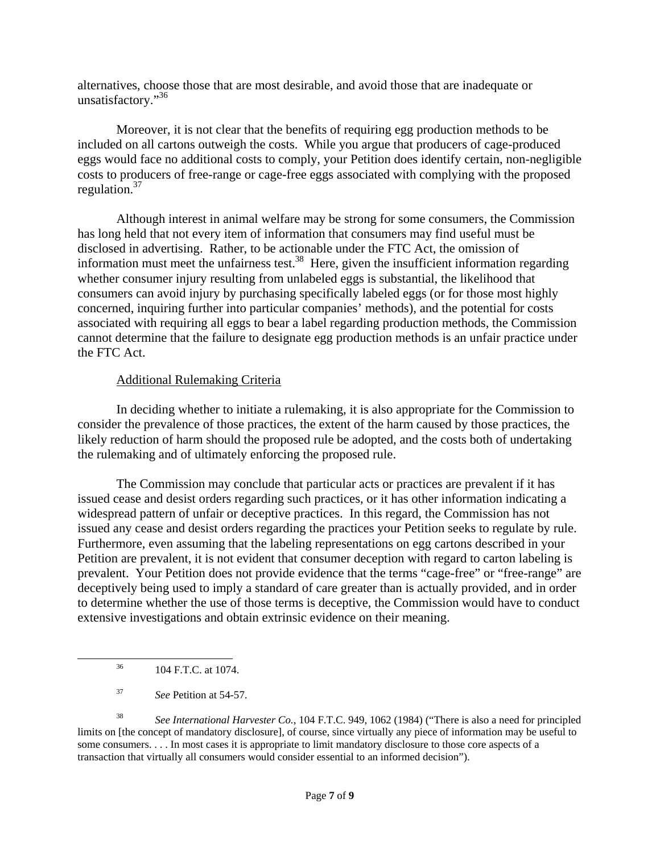alternatives, choose those that are most desirable, and avoid those that are inadequate or unsatisfactory."<sup>36</sup>

Moreover, it is not clear that the benefits of requiring egg production methods to be included on all cartons outweigh the costs. While you argue that producers of cage-produced eggs would face no additional costs to comply, your Petition does identify certain, non-negligible costs to producers of free-range or cage-free eggs associated with complying with the proposed regulation.37

 Although interest in animal welfare may be strong for some consumers, the Commission has long held that not every item of information that consumers may find useful must be disclosed in advertising. Rather, to be actionable under the FTC Act, the omission of information must meet the unfairness test.<sup>38</sup> Here, given the insufficient information regarding whether consumer injury resulting from unlabeled eggs is substantial, the likelihood that consumers can avoid injury by purchasing specifically labeled eggs (or for those most highly concerned, inquiring further into particular companies' methods), and the potential for costs associated with requiring all eggs to bear a label regarding production methods, the Commission cannot determine that the failure to designate egg production methods is an unfair practice under the FTC Act.

## Additional Rulemaking Criteria

 In deciding whether to initiate a rulemaking, it is also appropriate for the Commission to consider the prevalence of those practices, the extent of the harm caused by those practices, the likely reduction of harm should the proposed rule be adopted, and the costs both of undertaking the rulemaking and of ultimately enforcing the proposed rule.

 The Commission may conclude that particular acts or practices are prevalent if it has issued cease and desist orders regarding such practices, or it has other information indicating a widespread pattern of unfair or deceptive practices. In this regard, the Commission has not issued any cease and desist orders regarding the practices your Petition seeks to regulate by rule. Furthermore, even assuming that the labeling representations on egg cartons described in your Petition are prevalent, it is not evident that consumer deception with regard to carton labeling is prevalent. Your Petition does not provide evidence that the terms "cage-free" or "free-range" are deceptively being used to imply a standard of care greater than is actually provided, and in order to determine whether the use of those terms is deceptive, the Commission would have to conduct extensive investigations and obtain extrinsic evidence on their meaning.

38 *See International Harvester Co.*, 104 F.T.C. 949, 1062 (1984) ("There is also a need for principled limits on [the concept of mandatory disclosure], of course, since virtually any piece of information may be useful to some consumers. . . . In most cases it is appropriate to limit mandatory disclosure to those core aspects of a transaction that virtually all consumers would consider essential to an informed decision").

 <sup>36 104</sup> F.T.C. at 1074.

<sup>37</sup> *See* Petition at 54-57.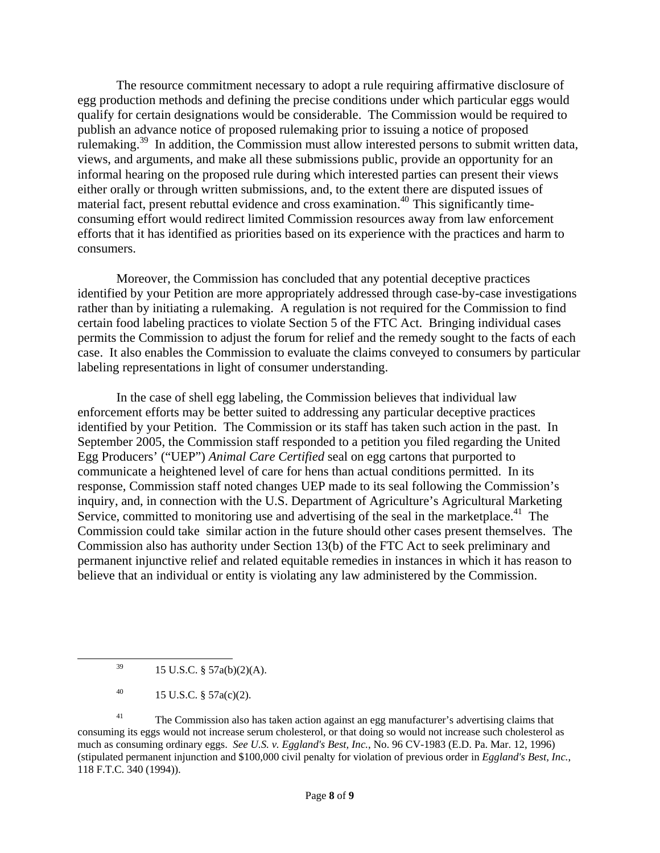The resource commitment necessary to adopt a rule requiring affirmative disclosure of egg production methods and defining the precise conditions under which particular eggs would qualify for certain designations would be considerable. The Commission would be required to publish an advance notice of proposed rulemaking prior to issuing a notice of proposed rulemaking.39 In addition, the Commission must allow interested persons to submit written data, views, and arguments, and make all these submissions public, provide an opportunity for an informal hearing on the proposed rule during which interested parties can present their views either orally or through written submissions, and, to the extent there are disputed issues of material fact, present rebuttal evidence and cross examination.<sup>40</sup> This significantly timeconsuming effort would redirect limited Commission resources away from law enforcement efforts that it has identified as priorities based on its experience with the practices and harm to consumers.

Moreover, the Commission has concluded that any potential deceptive practices identified by your Petition are more appropriately addressed through case-by-case investigations rather than by initiating a rulemaking. A regulation is not required for the Commission to find certain food labeling practices to violate Section 5 of the FTC Act. Bringing individual cases permits the Commission to adjust the forum for relief and the remedy sought to the facts of each case. It also enables the Commission to evaluate the claims conveyed to consumers by particular labeling representations in light of consumer understanding.

In the case of shell egg labeling, the Commission believes that individual law enforcement efforts may be better suited to addressing any particular deceptive practices identified by your Petition. The Commission or its staff has taken such action in the past. In September 2005, the Commission staff responded to a petition you filed regarding the United Egg Producers' ("UEP") *Animal Care Certified* seal on egg cartons that purported to communicate a heightened level of care for hens than actual conditions permitted. In its response, Commission staff noted changes UEP made to its seal following the Commission's inquiry, and, in connection with the U.S. Department of Agriculture's Agricultural Marketing Service, committed to monitoring use and advertising of the seal in the marketplace.<sup>41</sup> The Commission could take similar action in the future should other cases present themselves. The Commission also has authority under Section 13(b) of the FTC Act to seek preliminary and permanent injunctive relief and related equitable remedies in instances in which it has reason to believe that an individual or entity is violating any law administered by the Commission.

 $^{39}$  15 U.S.C. § 57a(b)(2)(A).

<sup>40 15</sup> U.S.C.  $\S$  57a(c)(2).

<sup>&</sup>lt;sup>41</sup> The Commission also has taken action against an egg manufacturer's advertising claims that consuming its eggs would not increase serum cholesterol, or that doing so would not increase such cholesterol as much as consuming ordinary eggs. *See U.S. v. Eggland's Best, Inc.*, No. 96 CV-1983 (E.D. Pa. Mar. 12, 1996) (stipulated permanent injunction and \$100,000 civil penalty for violation of previous order in *Eggland's Best, Inc.*, 118 F.T.C. 340 (1994)).